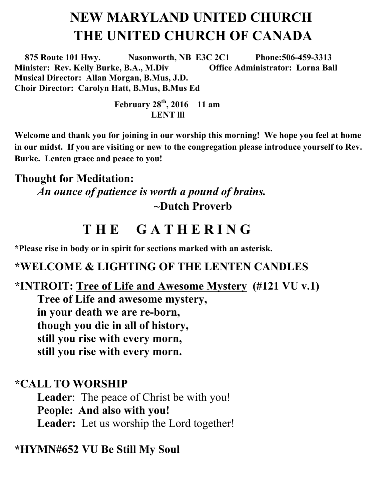# **NEW MARYLAND UNITED CHURCH THE UNITED CHURCH OF CANADA**

 **875 Route 101 Hwy. Nasonworth, NB E3C 2C1 Phone:506-459-3313 Minister: Rev. Kelly Burke, B.A., M.Div Office Administrator: Lorna Ball Musical Director: Allan Morgan, B.Mus, J.D. Choir Director: Carolyn Hatt, B.Mus, B.Mus Ed** 

> **February 28th, 2016 11 am LENT lll**

**Welcome and thank you for joining in our worship this morning! We hope you feel at home in our midst. If you are visiting or new to the congregation please introduce yourself to Rev. Burke. Lenten grace and peace to you!**

#### **Thought for Meditation:**

*An ounce of patience is worth a pound of brains.*  **~Dutch Proverb**

## **T H E G A T H E R I N G**

**\*Please rise in body or in spirit for sections marked with an asterisk.**

#### **\*WELCOME & LIGHTING OF THE LENTEN CANDLES**

### **\*INTROIT: Tree of Life and Awesome Mystery (#121 VU v.1) Tree of Life and awesome mystery, in your death we are re-born, though you die in all of history, still you rise with every morn, still you rise with every morn.**

#### **\*CALL TO WORSHIP**

**Leader**: The peace of Christ be with you! **People: And also with you! Leader:** Let us worship the Lord together!

#### **\*HYMN#652 VU Be Still My Soul**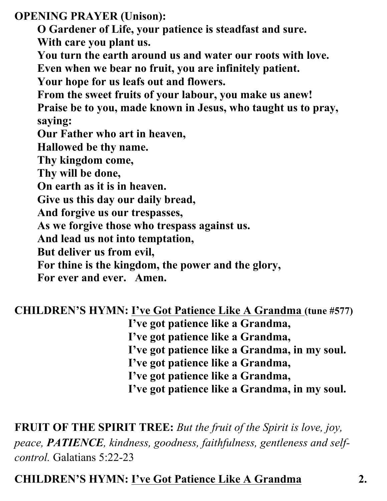**OPENING PRAYER (Unison):** 

**O Gardener of Life, your patience is steadfast and sure.**

**With care you plant us.**

**You turn the earth around us and water our roots with love.**

**Even when we bear no fruit, you are infinitely patient.**

**Your hope for us leafs out and flowers.** 

**From the sweet fruits of your labour, you make us anew!** 

**Praise be to you, made known in Jesus, who taught us to pray, saying:** 

**Our Father who art in heaven,** 

**Hallowed be thy name.** 

**Thy kingdom come,** 

**Thy will be done,** 

**On earth as it is in heaven.** 

**Give us this day our daily bread,** 

**And forgive us our trespasses,** 

**As we forgive those who trespass against us.** 

**And lead us not into temptation,** 

**But deliver us from evil,** 

**For thine is the kingdom, the power and the glory,** 

**For ever and ever. Amen.**

### **CHILDREN'S HYMN: I've Got Patience Like A Grandma (tune #577)**

**I've got patience like a Grandma,**

**I've got patience like a Grandma,**

**I've got patience like a Grandma, in my soul.**

**I've got patience like a Grandma,**

**I've got patience like a Grandma,**

**I've got patience like a Grandma, in my soul.**

## **FRUIT OF THE SPIRIT TREE:** *But the fruit of the Spirit is love, joy, peace, PATIENCE, kindness, goodness, faithfulness, gentleness and selfcontrol.* Galatians 5:22-23

## **CHILDREN'S HYMN: I've Got Patience Like A Grandma 2.**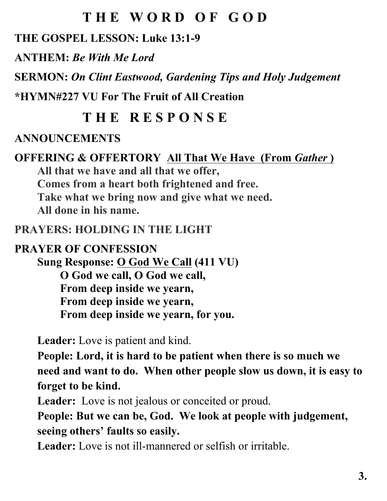# **T H E W O R D O F G O D**

### **THE GOSPEL LESSON: Luke 13:1-9**

**ANTHEM:** *Be With Me Lord*

**SERMON:** *On Clint Eastwood, Gardening Tips and Holy Judgement*

**\*HYMN#227 VU For The Fruit of All Creation**

# **T H E R E S P O N S E**

### **ANNOUNCEMENTS**

#### **OFFERING & OFFERTORY All That We Have (From Gather) All that we have and all that we offer,**

**Comes from a heart both frightened and free. Take what we bring now and give what we need. All done in his name.**

### **PRAYERS: HOLDING IN THE LIGHT**

### **PRAYER OF CONFESSION**

**Sung Response: O God We Call (411 VU) O God we call, O God we call, From deep inside we yearn, From deep inside we yearn, From deep inside we yearn, for you.**

**Leader:** Love is patient and kind.

**People: Lord, it is hard to be patient when there is so much we need and want to do. When other people slow us down, it is easy to forget to be kind.**

**Leader:** Love is not jealous or conceited or proud.

**People: But we can be, God. We look at people with judgement, seeing others' faults so easily.**

**Leader:** Love is not ill-mannered or selfish or irritable.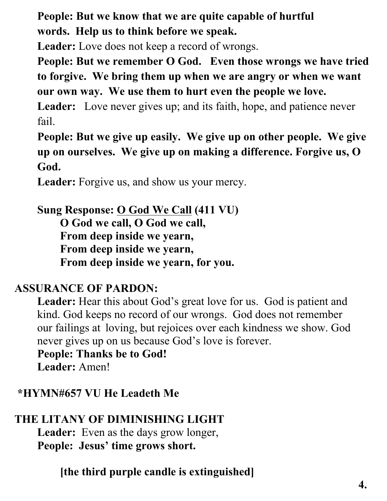**People: But we know that we are quite capable of hurtful words. Help us to think before we speak.**

**Leader:** Love does not keep a record of wrongs.

**People: But we remember O God. Even those wrongs we have tried to forgive. We bring them up when we are angry or when we want our own way. We use them to hurt even the people we love.** 

**Leader:** Love never gives up; and its faith, hope, and patience never fail.

**People: But we give up easily. We give up on other people. We give up on ourselves. We give up on making a difference. Forgive us, O God.** 

**Leader:** Forgive us, and show us your mercy.

**Sung Response: O God We Call (411 VU) O God we call, O God we call, From deep inside we yearn, From deep inside we yearn, From deep inside we yearn, for you.**

### **ASSURANCE OF PARDON:**

**Leader:** Hear this about God's great love for us. God is patient and kind. God keeps no record of our wrongs. God does not remember our failings at loving, but rejoices over each kindness we show. God never gives up on us because God's love is forever.

**People: Thanks be to God!**

**Leader:** Amen!

### **\*HYMN#657 VU He Leadeth Me**

## **THE LITANY OF DIMINISHING LIGHT**

**Leader:** Even as the days grow longer, **People: Jesus' time grows short.**

**[the third purple candle is extinguished]**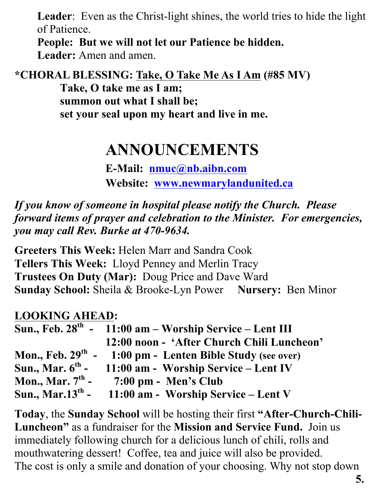**Leader**: Even as the Christ-light shines, the world tries to hide the light of Patience.

**People: But we will not let our Patience be hidden. Leader:** Amen and amen.

**\*CHORAL BLESSING: Take, O Take Me As I Am (#85 MV)**

**Take, O take me as I am; summon out what I shall be; set your seal upon my heart and live in me.** 

# **ANNOUNCEMENTS**

**E-Mail: nmuc@nb.aibn.com Website: www.newmarylandunited.ca**

*If you know of someone in hospital please notify the Church. Please forward items of prayer and celebration to the Minister. For emergencies, you may call Rev. Burke at 470-9634.*

**Greeters This Week:** Helen Marr and Sandra Cook **Tellers This Week:** Lloyd Penney and Merlin Tracy **Trustees On Duty (Mar):** Doug Price and Dave Ward **Sunday School:** Sheila & Brooke-Lyn Power **Nursery:** Ben Minor

### **LOOKING AHEAD:**

|                                    | Sun., Feb. $28th$ - 11:00 am – Worship Service – Lent III   |
|------------------------------------|-------------------------------------------------------------|
|                                    | 12:00 noon - 'After Church Chili Luncheon'                  |
|                                    | Mon., Feb. $29th$ - 1:00 pm - Lenten Bible Study (see over) |
| Sun., Mar. $6^{\text{th}}$ -       | 11:00 am - Worship Service – Lent IV                        |
| Mon., Mar. $7th$ -                 | $7:00 \text{ pm}$ - Men's Club                              |
| <b>Sun., Mar.13<sup>th</sup> -</b> | 11:00 am - Worship Service – Lent V                         |

**Today**, the **Sunday School** will be hosting their first **"After-Church-Chili-Luncheon"** as a fundraiser for the **Mission and Service Fund.** Join us immediately following church for a delicious lunch of chili, rolls and mouthwatering dessert! Coffee, tea and juice will also be provided. The cost is only a smile and donation of your choosing. Why not stop down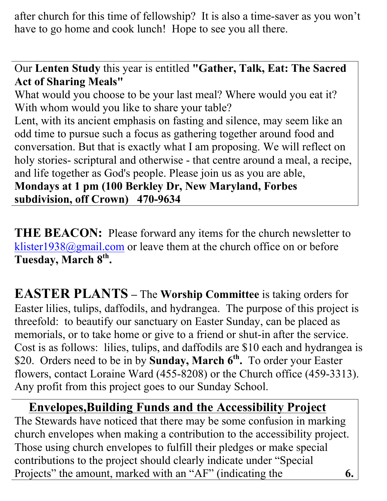after church for this time of fellowship? It is also a time-saver as you won't have to go home and cook lunch! Hope to see you all there.

Our **Lenten Study** this year is entitled **"Gather, Talk, Eat: The Sacred Act of Sharing Meals"**

What would you choose to be your last meal? Where would you eat it? With whom would you like to share your table?

Lent, with its ancient emphasis on fasting and silence, may seem like an odd time to pursue such a focus as gathering together around food and conversation. But that is exactly what I am proposing. We will reflect on holy stories- scriptural and otherwise - that centre around a meal, a recipe, and life together as God's people. Please join us as you are able,

**Mondays at 1 pm (100 Berkley Dr, New Maryland, Forbes subdivision, off Crown) 470-9634**

**THE BEACON:** Please forward any items for the church newsletter to klister1938@gmail.com or leave them at the church office on or before Tuesday, March 8<sup>th</sup>.

**EASTER PLANTS –** The **Worship Committee** is taking orders for Easter lilies, tulips, daffodils, and hydrangea. The purpose of this project is threefold: to beautify our sanctuary on Easter Sunday, can be placed as memorials, or to take home or give to a friend or shut-in after the service. Cost is as follows: lilies, tulips, and daffodils are \$10 each and hydrangea is \$20. Orders need to be in by **Sunday, March 6th.** To order your Easter flowers, contact Loraine Ward (455-8208) or the Church office (459-3313). Any profit from this project goes to our Sunday School.

 **Envelopes,Building Funds and the Accessibility Project**  The Stewards have noticed that there may be some confusion in marking church envelopes when making a contribution to the accessibility project. Those using church envelopes to fulfill their pledges or make special contributions to the project should clearly indicate under "Special Projects" the amount, marked with an "AF" (indicating the **6.**